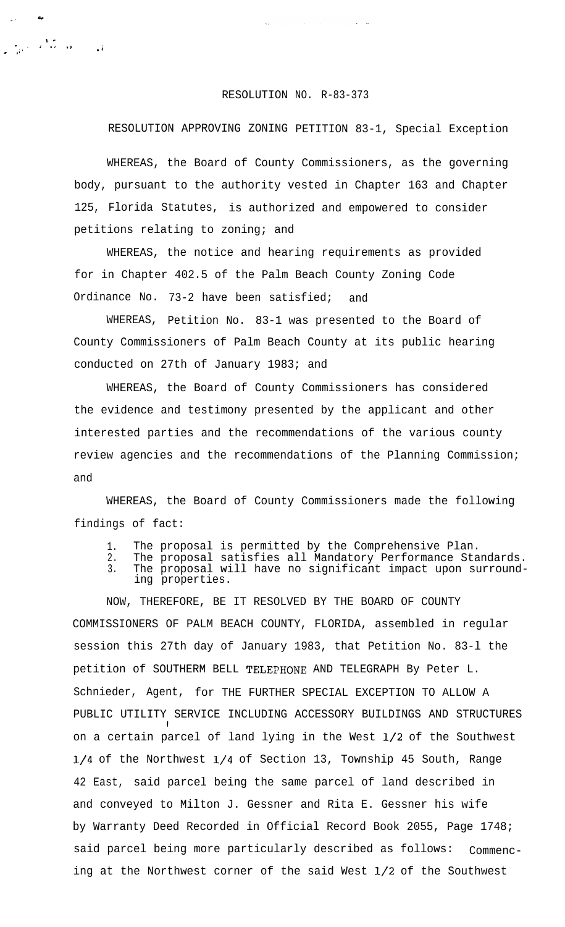## RESOLUTION NO. R-83-373

 $\frac{1}{\sqrt{2}}$ 

## RESOLUTION APPROVING ZONING PETITION 83-1, Special Exception

WHEREAS, the Board of County Commissioners, as the governing body, pursuant to the authority vested in Chapter 163 and Chapter 125, Florida Statutes, is authorized and empowered to consider petitions relating to zoning; and

WHEREAS, the notice and hearing requirements as provided for in Chapter 402.5 of the Palm Beach County Zoning Code Ordinance No. 73-2 have been satisfied; and

WHEREAS, Petition No. 83-1 was presented to the Board of County Commissioners of Palm Beach County at its public hearing conducted on 27th of January 1983; and

WHEREAS, the Board of County Commissioners has considered the evidence and testimony presented by the applicant and other interested parties and the recommendations of the various county review agencies and the recommendations of the Planning Commission; and

WHEREAS, the Board of County Commissioners made the following findings of fact:

- 1. The proposal is permitted by the Comprehensive Plan.
- 2. 3. The proposal satisfies all Mandatory Performance Standards. The proposal will have no significant impact upon surrounding properties.

NOW, THEREFORE, BE IT RESOLVED BY THE BOARD OF COUNTY COMMISSIONERS OF PALM BEACH COUNTY, FLORIDA, assembled in regular session this 27th day of January 1983, that Petition No. 83-l the petition of SOUTHERM BELL TELEPHONE AND TELEGRAPH By Peter L. Schnieder, Agent, for THE FURTHER SPECIAL EXCEPTION TO ALLOW A PUBLIC UTILITY SERVICE INCLUDING ACCESSORY BUILDINGS AND STRUCTURES on a certain parcel of land lying in the West l/2 of the Southwest l/4 of the Northwest l/4 of Section 13, Township 45 South, Range 42 East, said parcel being the same parcel of land described in and conveyed to Milton J. Gessner and Rita E. Gessner his wife by Warranty Deed Recorded in Official Record Book 2055, Page 1748; said parcel being more particularly described as follows: Commencing at the Northwest corner of the said West l/2 of the Southwest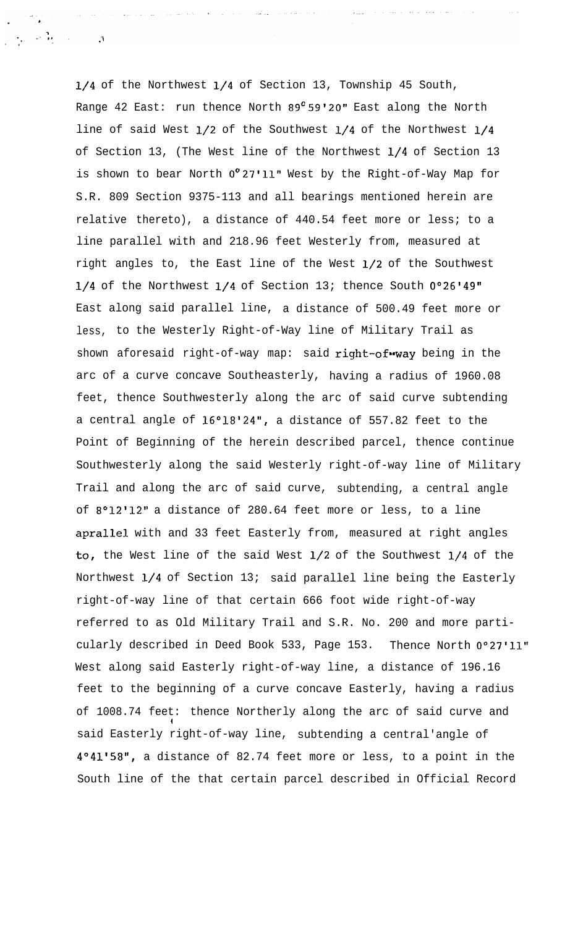l/4 of the Northwest l/4 of Section 13, Township 45 South, Range 42 East: run thence North  $89^{\circ}59'20"$  East along the North line of said West l/2 of the Southwest l/4 of the Northwest l/4 of Section 13, (The West line of the Northwest l/4 of Section 13 is shown to bear North  $0^{\circ}$  27'11" West by the Right-of-Way Map for S.R. 809 Section 9375-113 and all bearings mentioned herein are relative thereto), a distance of 440.54 feet more or less; to a line parallel with and 218.96 feet Westerly from, measured at right angles to, the East line of the West l/2 of the Southwest  $1/4$  of the Northwest  $1/4$  of Section 13; thence South  $0°26'49"$ East along said parallel line, a distance of 500.49 feet more or less, to the Westerly Right-of-Way line of Military Trail as shown aforesaid right-of-way map: said right-of-way being in the arc of a curve concave Southeasterly, having a radius of 1960.08 feet, thence Southwesterly along the arc of said curve subtending a central angle of 16°18'24", a distance of 557.82 feet to the Point of Beginning of the herein described parcel, thence continue Southwesterly along the said Westerly right-of-way line of Military Trail and along the arc of said curve, subtending, a central angle of 8°12'12" a distance of 280.64 feet more or less, to a line aprallel with and 33 feet Easterly from, measured at right angles to, the West line of the said West l/2 of the Southwest l/4 of the Northwest l/4 of Section 13; said parallel line being the Easterly right-of-way line of that certain 666 foot wide right-of-way referred to as Old Military Trail and S.R. No. 200 and more particularly described in Deed Book 533, Page 153. Thence North 0°27'11" West along said Easterly right-of-way line, a distance of 196.16 feet to the beginning of a curve concave Easterly, having a radius of 1008.74 feet: thence Northerly along the arc of said curve and I said Easterly right-of-way line, subtending a central'angle of 4°41'58", a distance of 82.74 feet more or less, to a point in the South line of the that certain parcel described in Official Record

 $\sim 100$ 

 $\label{eq:2.1} \mathcal{J}_{\mathcal{A}}(\mathcal{A})=\mathcal{J}_{\mathcal{A}}(\mathcal{A})\mathcal{J}_{\mathcal{A}}(\mathcal{A})$